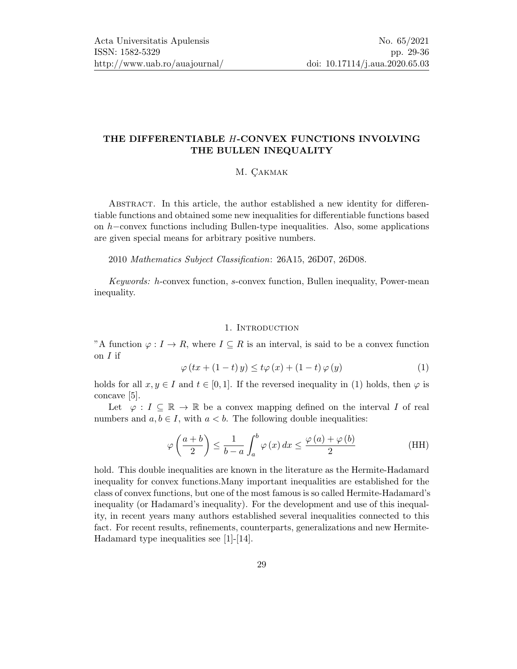# THE DIFFERENTIABLE H-CONVEX FUNCTIONS INVOLVING THE BULLEN INEQUALITY

# M. CAKMAK

Abstract. In this article, the author established a new identity for differentiable functions and obtained some new inequalities for differentiable functions based on h−convex functions including Bullen-type inequalities. Also, some applications are given special means for arbitrary positive numbers.

## 2010 Mathematics Subject Classification: 26A15, 26D07, 26D08.

Keywords: h-convex function, s-convex function, Bullen inequality, Power-mean inequality.

#### 1. INTRODUCTION

"A function  $\varphi: I \to R$ , where  $I \subseteq R$  is an interval, is said to be a convex function on  $I$  if

<span id="page-0-0"></span>
$$
\varphi(tx + (1-t)y) \le t\varphi(x) + (1-t)\varphi(y) \tag{1}
$$

holds for all  $x, y \in I$  and  $t \in [0, 1]$ . If the reversed inequality in [\(1\)](#page-0-0) holds, then  $\varphi$  is concave [\[5\]](#page-6-0).

Let  $\varphi : I \subseteq \mathbb{R} \to \mathbb{R}$  be a convex mapping defined on the interval I of real numbers and  $a, b \in I$ , with  $a < b$ . The following double inequalities:

$$
\varphi\left(\frac{a+b}{2}\right) \le \frac{1}{b-a} \int_{a}^{b} \varphi\left(x\right) dx \le \frac{\varphi\left(a\right) + \varphi\left(b\right)}{2} \tag{HH}
$$

hold. This double inequalities are known in the literature as the Hermite-Hadamard inequality for convex functions.Many important inequalities are established for the class of convex functions, but one of the most famous is so called Hermite-Hadamard's inequality (or Hadamard's inequality). For the development and use of this inequality, in recent years many authors established several inequalities connected to this fact. For recent results, refinements, counterparts, generalizations and new Hermite-Hadamard type inequalities see [\[1\]](#page-6-1)-[\[14\]](#page-7-1).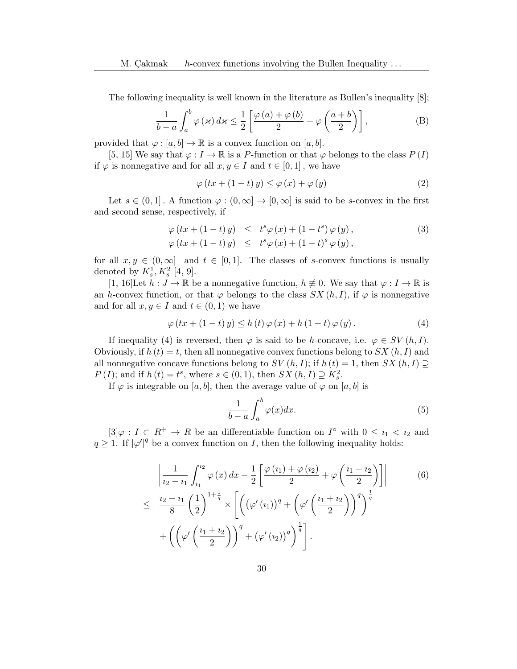The following inequality is well known in the literature as Bullen's inequality [\[8\]](#page-7-2);

$$
\frac{1}{b-a} \int_{a}^{b} \varphi(\varkappa) d\varkappa \le \frac{1}{2} \left[ \frac{\varphi(a) + \varphi(b)}{2} + \varphi\left(\frac{a+b}{2}\right) \right],
$$
 (B)

provided that  $\varphi : [a, b] \to \mathbb{R}$  is a convex function on  $[a, b]$ .

[\[5,](#page-6-0) [15\]](#page-7-3) We say that  $\varphi: I \to \mathbb{R}$  is a P-function or that  $\varphi$  belongs to the class  $P(I)$ if  $\varphi$  is nonnegative and for all  $x, y \in I$  and  $t \in [0, 1]$ , we have

$$
\varphi(tx + (1 - t)y) \le \varphi(x) + \varphi(y)
$$
\n(2)

Let  $s \in (0,1]$ . A function  $\varphi : (0,\infty] \to [0,\infty]$  is said to be s-convex in the first and second sense, respectively, if

$$
\varphi(tx+(1-t)y) \leq t^s \varphi(x) + (1-t^s) \varphi(y),
$$
  
\n
$$
\varphi(tx+(1-t)y) \leq t^s \varphi(x) + (1-t)^s \varphi(y),
$$
\n(3)

for all  $x, y \in (0, \infty]$  and  $t \in [0, 1]$ . The classes of s-convex functions is usually denoted by  $K_s^1, K_s^2$  [\[4,](#page-6-2) [9\]](#page-7-4).

[\[1,](#page-6-1) [16\]](#page-7-5)Let  $h: J \to \mathbb{R}$  be a nonnegative function,  $h \not\equiv 0$ . We say that  $\varphi: I \to \mathbb{R}$  is an h-convex function, or that  $\varphi$  belongs to the class  $SX(h, I)$ , if  $\varphi$  is nonnegative and for all  $x, y \in I$  and  $t \in (0, 1)$  we have

<span id="page-1-0"></span>
$$
\varphi(tx + (1-t)y) \le h(t)\varphi(x) + h(1-t)\varphi(y).
$$
\n(4)

If inequality [\(4\)](#page-1-0) is reversed, then  $\varphi$  is said to be h-concave, i.e.  $\varphi \in SV(h, I)$ . Obviously, if  $h(t) = t$ , then all nonnegative convex functions belong to  $SX(h, I)$  and all nonnegative concave functions belong to  $SV(h, I)$ ; if  $h(t) = 1$ , then  $SX(h, I) \supseteq$  $P(I)$ ; and if  $h(t) = t^s$ , where  $s \in (0, 1)$ , then  $SX(h, I) \supseteq K_s^2$ .

If  $\varphi$  is integrable on [a, b], then the average value of  $\varphi$  on [a, b] is

$$
\frac{1}{b-a} \int_{a}^{b} \varphi(x) dx.
$$
 (5)

 $[3]\varphi: I \subset R^+ \to R$  $[3]\varphi: I \subset R^+ \to R$  be an differentiable function on  $I^{\circ}$  with  $0 \leq i_1 < i_2$  and  $q \geq 1$ . If  $|\varphi'|^q$  be a convex function on I, then the following inequality holds:

<span id="page-1-1"></span>
$$
\left| \frac{1}{i_2 - i_1} \int_{i_1}^{i_2} \varphi(x) dx - \frac{1}{2} \left[ \frac{\varphi(i_1) + \varphi(i_2)}{2} + \varphi\left(\frac{i_1 + i_2}{2}\right) \right] \right| \tag{6}
$$
  

$$
\leq \frac{i_2 - i_1}{8} \left( \frac{1}{2} \right)^{1 + \frac{1}{q}} \times \left[ \left( \left( \varphi'(i_1) \right)^q + \left( \varphi'\left(\frac{i_1 + i_2}{2}\right) \right)^q \right)^{\frac{1}{q}}
$$

$$
+ \left( \left( \varphi'\left(\frac{i_1 + i_2}{2}\right) \right)^q + \left( \varphi'(i_2) \right)^q \right)^{\frac{1}{q}} \right].
$$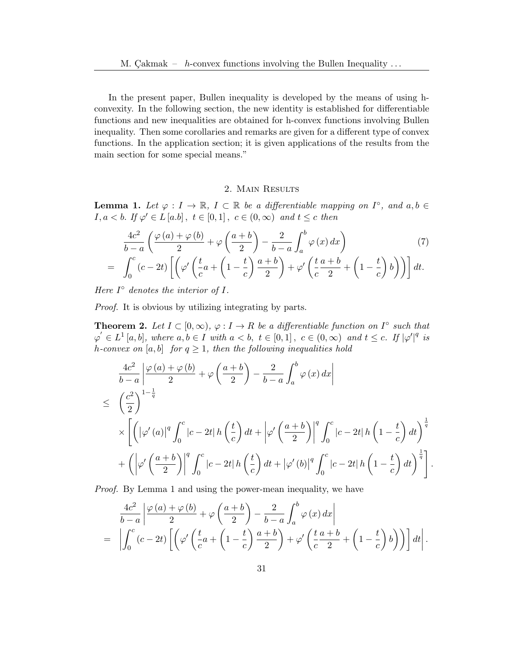In the present paper, Bullen inequality is developed by the means of using hconvexity. In the following section, the new identity is established for differentiable functions and new inequalities are obtained for h-convex functions involving Bullen inequality. Then some corollaries and remarks are given for a different type of convex functions. In the application section; it is given applications of the results from the main section for some special means."

# 2. Main Results

<span id="page-2-0"></span>**Lemma 1.** Let  $\varphi: I \to \mathbb{R}, I \subset \mathbb{R}$  be a differentiable mapping on  $I^{\circ}$ , and  $a, b \in I$  $I, a < b$ . If  $\varphi' \in L [a,b]$ ,  $t \in [0,1]$ ,  $c \in (0,\infty)$  and  $t \leq c$  then

$$
\frac{4c^2}{b-a} \left( \frac{\varphi(a) + \varphi(b)}{2} + \varphi\left(\frac{a+b}{2}\right) - \frac{2}{b-a} \int_a^b \varphi(x) dx \right)
$$
\n
$$
= \int_0^c (c-2t) \left[ \left( \varphi' \left( \frac{t}{c} a + \left(1 - \frac{t}{c}\right) \frac{a+b}{2} \right) + \varphi' \left( \frac{t}{c} \frac{a+b}{2} + \left(1 - \frac{t}{c}\right) b \right) \right) \right] dt.
$$
\n(7)

Here  $I^{\circ}$  denotes the interior of I.

Proof. It is obvious by utilizing integrating by parts.

<span id="page-2-1"></span>**Theorem 2.** Let  $I \subset [0,\infty)$ ,  $\varphi: I \to R$  be a differentiable function on  $I^{\circ}$  such that  $\varphi' \in L^1[a, b],$  where  $a, b \in I$  with  $a < b, t \in [0, 1], c \in (0, \infty)$  and  $t \leq c$ . If  $|\varphi'|^q$  is h-convex on [a, b] for  $q \geq 1$ , then the following inequalities hold

$$
\frac{4c^2}{b-a}\left|\frac{\varphi(a)+\varphi(b)}{2}+\varphi\left(\frac{a+b}{2}\right)-\frac{2}{b-a}\int_a^b\varphi(x)\,dx\right|
$$
\n
$$
\leq \left(\frac{c^2}{2}\right)^{1-\frac{1}{q}}
$$
\n
$$
\times \left[\left(\left|\varphi'(a)\right|^q \int_0^c |c-2t| h\left(\frac{t}{c}\right) dt+\left|\varphi'\left(\frac{a+b}{2}\right)\right|^q \int_0^c |c-2t| h\left(1-\frac{t}{c}\right) dt\right)^{\frac{1}{q}}
$$
\n
$$
+\left(\left|\varphi'\left(\frac{a+b}{2}\right)\right|^q \int_0^c |c-2t| h\left(\frac{t}{c}\right) dt+\left|\varphi'(b)\right|^q \int_0^c |c-2t| h\left(1-\frac{t}{c}\right) dt\right)^{\frac{1}{q}}\right].
$$

Proof. By Lemma [1](#page-2-0) and using the power-mean inequality, we have

$$
\frac{4c^2}{b-a}\left|\frac{\varphi(a)+\varphi(b)}{2}+\varphi\left(\frac{a+b}{2}\right)-\frac{2}{b-a}\int_a^b\varphi(x)\,dx\right|
$$
\n
$$
=\left|\int_0^c\left(c-2t\right)\left[\left(\varphi'\left(\frac{t}{c}a+\left(1-\frac{t}{c}\right)\frac{a+b}{2}\right)+\varphi'\left(\frac{t}{c}\frac{a+b}{2}+\left(1-\frac{t}{c}\right)b\right)\right)\right]dt\right|.
$$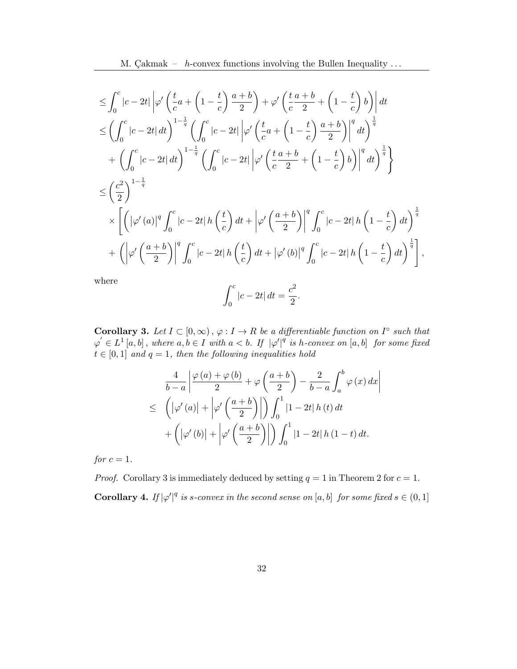$$
\leq \int_0^c |c - 2t| \left| \varphi' \left( \frac{t}{c} a + \left( 1 - \frac{t}{c} \right) \frac{a+b}{2} \right) + \varphi' \left( \frac{t}{c} \frac{a+b}{2} + \left( 1 - \frac{t}{c} \right) b \right) \right| dt
$$
\n
$$
\leq \left( \int_0^c |c - 2t| dt \right)^{1 - \frac{1}{q}} \left( \int_0^c |c - 2t| \left| \varphi' \left( \frac{t}{c} a + \left( 1 - \frac{t}{c} \right) \frac{a+b}{2} \right) \right|^q dt \right)^{\frac{1}{q}}
$$
\n
$$
+ \left( \int_0^c |c - 2t| dt \right)^{1 - \frac{1}{q}} \left( \int_0^c |c - 2t| \left| \varphi' \left( \frac{t}{c} \frac{a+b}{2} + \left( 1 - \frac{t}{c} \right) b \right) \right|^q dt \right)^{\frac{1}{q}}
$$
\n
$$
\leq \left( \frac{c^2}{2} \right)^{1 - \frac{1}{q}}
$$
\n
$$
\times \left[ \left( \left| \varphi'(a) \right|^q \int_0^c |c - 2t| h \left( \frac{t}{c} \right) dt + \left| \varphi' \left( \frac{a+b}{2} \right) \right|^q \int_0^c |c - 2t| h \left( 1 - \frac{t}{c} \right) dt \right)^{\frac{1}{q}}
$$
\n
$$
+ \left( \left| \varphi' \left( \frac{a+b}{2} \right) \right|^q \int_0^c |c - 2t| h \left( \frac{t}{c} \right) dt + \left| \varphi'(b) \right|^q \int_0^c |c - 2t| h \left( 1 - \frac{t}{c} \right) dt \right)^{\frac{1}{q}}
$$

where

$$
\int_0^c |c - 2t| \, dt = \frac{c^2}{2}.
$$

<span id="page-3-0"></span>**Corollary 3.** Let  $I \subset [0,\infty)$ ,  $\varphi: I \to R$  be a differentiable function on  $I^{\circ}$  such that  $\varphi' \in L^1[a, b],$  where  $a, b \in I$  with  $a < b$ . If  $|\varphi'|^q$  is h-convex on  $[a, b]$  for some fixed  $t \in [0,1]$  and  $q=1$ , then the following inequalities hold

$$
\frac{4}{b-a}\left|\frac{\varphi(a)+\varphi(b)}{2}+\varphi\left(\frac{a+b}{2}\right)-\frac{2}{b-a}\int_a^b\varphi(x)\,dx\right|
$$
  
\n
$$
\leq \left(\left|\varphi'(a)\right|+\left|\varphi'\left(\frac{a+b}{2}\right)\right|\right)\int_0^1\left|1-2t\right|h(t)\,dt
$$
  
\n
$$
+\left(\left|\varphi'(b)\right|+\left|\varphi'\left(\frac{a+b}{2}\right)\right|\right)\int_0^1\left|1-2t\right|h(1-t)\,dt.
$$

for  $c=1$ .

<span id="page-3-1"></span>*Proof.* Corollary [3](#page-3-0) is immediately deduced by setting  $q = 1$  in Theorem [2](#page-2-1) for  $c = 1$ . **Corollary 4.** If  $|\varphi'|^q$  is s-convex in the second sense on [a, b] for some fixed  $s \in (0,1]$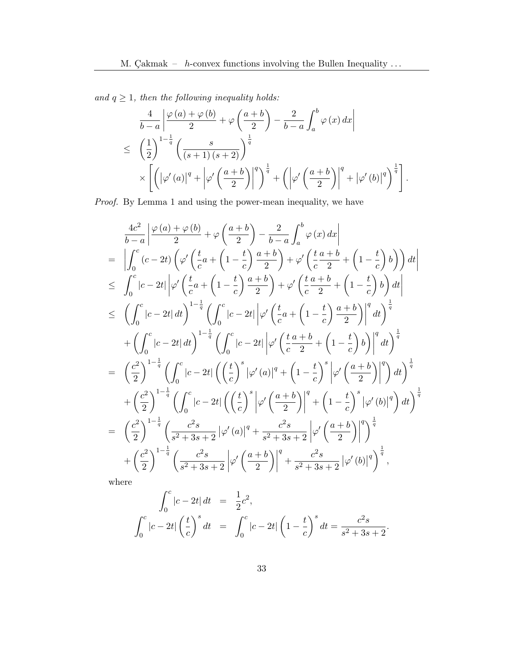and  $q \geq 1$ , then the following inequality holds:

$$
\frac{4}{b-a}\left|\frac{\varphi(a)+\varphi(b)}{2}+\varphi\left(\frac{a+b}{2}\right)-\frac{2}{b-a}\int_a^b\varphi(x)\,dx\right|
$$
\n
$$
\leq \left(\frac{1}{2}\right)^{1-\frac{1}{q}}\left(\frac{s}{(s+1)(s+2)}\right)^{\frac{1}{q}}
$$
\n
$$
\times\left[\left(\left|\varphi'(a)\right|^q+\left|\varphi'\left(\frac{a+b}{2}\right)\right|^q\right)^{\frac{1}{q}}+\left(\left|\varphi'\left(\frac{a+b}{2}\right)\right|^q+\left|\varphi'(b)\right|^q\right)^{\frac{1}{q}}\right].
$$

Proof. By Lemma [1](#page-2-0) and using the power-mean inequality, we have

$$
\frac{4c^{2}}{b-a}\left|\frac{\varphi(a)+\varphi(b)}{2}+\varphi\left(\frac{a+b}{2}\right)-\frac{2}{b-a}\int_{a}^{b}\varphi(x) dx\right|
$$
\n
$$
=\left|\int_{0}^{c}(c-2t)\left(\varphi'\left(\frac{t}{c}a+\left(1-\frac{t}{c}\right)\frac{a+b}{2}\right)+\varphi'\left(\frac{t}{c}\frac{a+b}{2}+\left(1-\frac{t}{c}\right)b\right)\right)dt\right|
$$
\n
$$
\leq \int_{0}^{c}|c-2t|\left|\varphi'\left(\frac{t}{c}a+\left(1-\frac{t}{c}\right)\frac{a+b}{2}\right)+\varphi'\left(\frac{t}{c}\frac{a+b}{2}+\left(1-\frac{t}{c}\right)b\right)dt\right|
$$
\n
$$
\leq \left(\int_{0}^{c}|c-2t|dt\right)^{1-\frac{1}{q}}\left(\int_{0}^{c}|c-2t|\left|\varphi'\left(\frac{t}{c}a+\left(1-\frac{t}{c}\right)\frac{a+b}{2}\right)\right|^{q}dt\right)^{\frac{1}{q}}
$$
\n
$$
+\left(\int_{0}^{c}|c-2t|dt\right)^{1-\frac{1}{q}}\left(\int_{0}^{c}|c-2t|\left|\varphi'\left(\frac{t}{c}\frac{a+b}{2}+\left(1-\frac{t}{c}\right)b\right)\right|^{q}dt\right)^{\frac{1}{q}}
$$
\n
$$
=\left(\frac{c^{2}}{2}\right)^{1-\frac{1}{q}}\left(\int_{0}^{c}|c-2t|\left(\left(\frac{t}{c}\right)^{s}|\varphi'(a)|^{q}+\left(1-\frac{t}{c}\right)^{s}|\varphi'\left(\frac{a+b}{2}\right)|^{q}\right)dt\right)^{\frac{1}{q}}
$$
\n
$$
+\left(\frac{c^{2}}{2}\right)^{1-\frac{1}{q}}\left(\int_{0}^{c}|c-2t|\left(\left(\frac{t}{c}\right)^{s}|\varphi'\left(\frac{a+b}{2}\right)\right|^{q}+\left(1-\frac{t}{c}\right)^{s}|\varphi'(b)|^{q}\right)dt\right)^{\frac{1}{q}}
$$
\n
$$
=\left(\frac{c^{2}}{2}\right)^{1-\frac{1}{q}}\left(\frac{c^{2}s}{s
$$

where

$$
\int_0^c |c - 2t| dt = \frac{1}{2}c^2,
$$
  

$$
\int_0^c |c - 2t| \left(\frac{t}{c}\right)^s dt = \int_0^c |c - 2t| \left(1 - \frac{t}{c}\right)^s dt = \frac{c^2s}{s^2 + 3s + 2}.
$$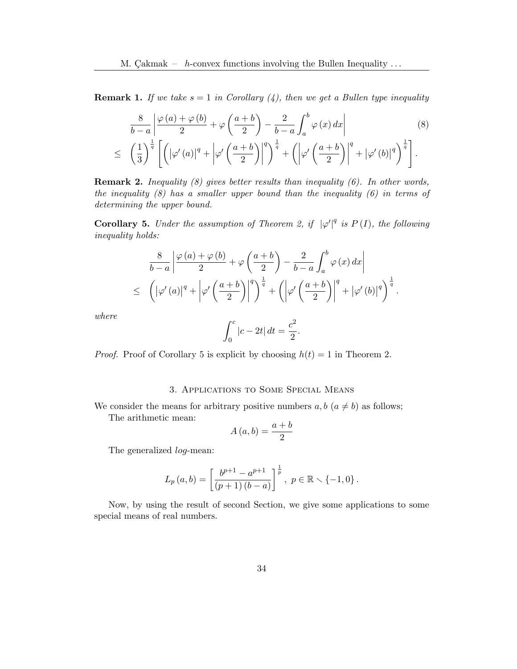**Remark 1.** If we take  $s = 1$  in Corollary [\(4\)](#page-3-1), then we get a Bullen type inequality

<span id="page-5-0"></span>
$$
\frac{8}{b-a}\left|\frac{\varphi(a)+\varphi(b)}{2}+\varphi\left(\frac{a+b}{2}\right)-\frac{2}{b-a}\int_a^b\varphi(x)\,dx\right|
$$
\n
$$
\leq \left(\frac{1}{3}\right)^{\frac{1}{q}}\left[\left(\left|\varphi'(a)\right|^q+\left|\varphi'\left(\frac{a+b}{2}\right)\right|^q\right)^{\frac{1}{q}}+\left(\left|\varphi'\left(\frac{a+b}{2}\right)\right|^q+\left|\varphi'(b)\right|^q\right)^{\frac{1}{q}}\right].
$$
\n(8)

**Remark 2.** Inequality [\(8\)](#page-5-0) gives better results than inequality [\(6\)](#page-1-1). In other words, the inequality  $(8)$  has a smaller upper bound than the inequality  $(6)$  in terms of determining the upper bound.

<span id="page-5-1"></span>**Corollary 5.** Under the assumption of Theorem [2,](#page-2-1) if  $|\varphi'|^q$  is  $P(I)$ , the following inequality holds:

$$
\frac{8}{b-a}\left|\frac{\varphi(a)+\varphi(b)}{2}+\varphi\left(\frac{a+b}{2}\right)-\frac{2}{b-a}\int_a^b\varphi(x)\,dx\right|
$$
  

$$
\leq \left(\left|\varphi'(a)\right|^q+\left|\varphi'\left(\frac{a+b}{2}\right)\right|^q\right)^{\frac{1}{q}}+\left(\left|\varphi'\left(\frac{a+b}{2}\right)\right|^q+\left|\varphi'(b)\right|^q\right)^{\frac{1}{q}}
$$

.

where

$$
\int_0^c |c - 2t| \, dt = \frac{c^2}{2}.
$$

*Proof.* Proof of Corollary [5](#page-5-1) is explicit by choosing  $h(t) = 1$  in Theorem [2.](#page-2-1)

# 3. Applications to Some Special Means

We consider the means for arbitrary positive numbers  $a, b \ (a \neq b)$  as follows;

The arithmetic mean:

$$
A(a,b) = \frac{a+b}{2}
$$

The generalized log-mean:

$$
L_p(a,b) = \left[\frac{b^{p+1} - a^{p+1}}{(p+1)(b-a)}\right]^{\frac{1}{p}}, \ p \in \mathbb{R} \setminus \{-1,0\}.
$$

Now, by using the result of second Section, we give some applications to some special means of real numbers.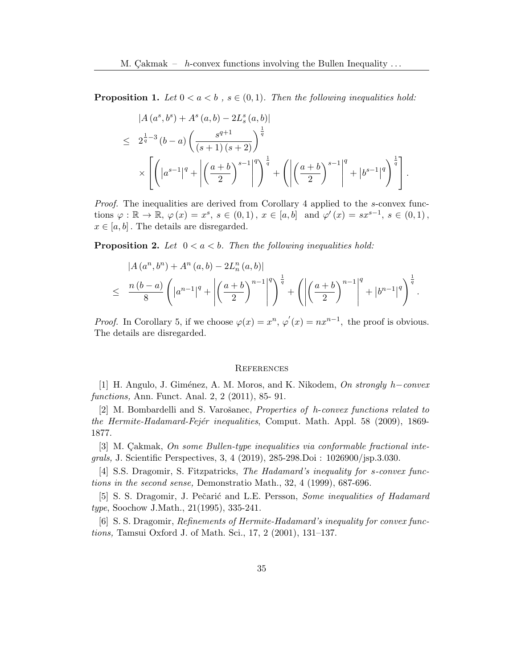**Proposition 1.** Let  $0 < a < b$ ,  $s \in (0,1)$ . Then the following inequalities hold:

$$
|A(a^{s},b^{s}) + A^{s}(a,b) - 2L_{s}^{s}(a,b)|
$$
  
\n
$$
\leq 2^{\frac{1}{q}-3} (b-a) \left( \frac{s^{q+1}}{(s+1)(s+2)} \right)^{\frac{1}{q}}
$$
  
\n
$$
\times \left[ \left( |a^{s-1}|^{q} + \left| \left( \frac{a+b}{2} \right)^{s-1} \right|^{q} \right)^{\frac{1}{q}} + \left( \left| \left( \frac{a+b}{2} \right)^{s-1} \right|^{q} + |b^{s-1}|^{q} \right)^{\frac{1}{q}} \right].
$$

Proof. The inequalities are derived from Corollary [4](#page-3-1) applied to the s-convex functions  $\varphi : \mathbb{R} \to \mathbb{R}, \varphi(x) = x^s, s \in (0,1), x \in [a,b] \text{ and } \varphi'(x) = sx^{s-1}, s \in (0,1),$  $x \in [a, b]$ . The details are disregarded.

**Proposition 2.** Let  $0 < a < b$ . Then the following inequalities hold:

$$
|A(a^{n},b^{n}) + A^{n}(a,b) - 2L_{n}^{n}(a,b)|
$$
  

$$
\leq \frac{n(b-a)}{8} \left( |a^{n-1}|^{q} + \left| \left( \frac{a+b}{2} \right)^{n-1} \right|^{q} \right)^{\frac{1}{q}} + \left( \left| \left( \frac{a+b}{2} \right)^{n-1} \right|^{q} + |b^{n-1}|^{q} \right)^{\frac{1}{q}}.
$$

*Proof.* In Corollary [5,](#page-5-1) if we choose  $\varphi(x) = x^n$ ,  $\varphi'(x) = nx^{n-1}$ , the proof is obvious. The details are disregarded.

#### **REFERENCES**

<span id="page-6-1"></span>[1] H. Angulo, J. Giménez, A. M. Moros, and K. Nikodem, On strongly h–convex functions, Ann. Funct. Anal. 2, 2 (2011), 85- 91.

[2] M. Bombardelli and S. Varošanec, *Properties of h-convex functions related to* the Hermite-Hadamard-Fejér inequalities, Comput. Math. Appl. 58 (2009), 1869-1877.

<span id="page-6-3"></span>[3] M. Cakmak, On some Bullen-type inequalities via conformable fractional integrals, J. Scientific Perspectives, 3, 4 (2019), 285-298.Doi : 1026900/jsp.3.030.

<span id="page-6-2"></span>[4] S.S. Dragomir, S. Fitzpatricks, The Hadamard's inequality for s-convex functions in the second sense, Demonstratio Math., 32, 4 (1999), 687-696.

<span id="page-6-0"></span>[5] S. S. Dragomir, J. Pečarić and L.E. Persson, Some inequalities of Hadamard type, Soochow J.Math., 21(1995), 335-241.

[6] S. S. Dragomir, Refinements of Hermite-Hadamard's inequality for convex functions, Tamsui Oxford J. of Math. Sci., 17, 2 (2001), 131–137.